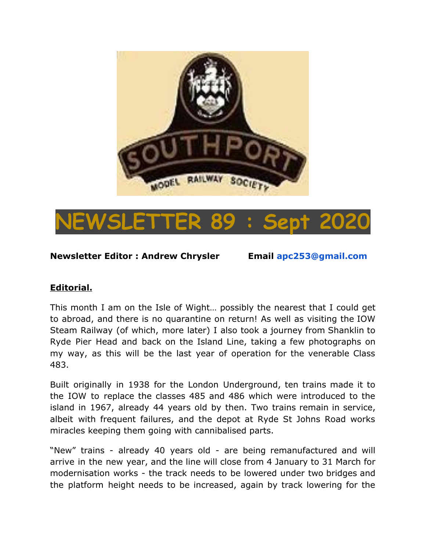



**Newsletter Editor : Andrew Chrysler Email apc253@gmail.com**

## **Editorial.**

This month I am on the Isle of Wight… possibly the nearest that I could get to abroad, and there is no quarantine on return! As well as visiting the IOW Steam Railway (of which, more later) I also took a journey from Shanklin to Ryde Pier Head and back on the Island Line, taking a few photographs on my way, as this will be the last year of operation for the venerable Class 483.

Built originally in 1938 for the London Underground, ten trains made it to the IOW to replace the classes 485 and 486 which were introduced to the island in 1967, already 44 years old by then. Two trains remain in service, albeit with frequent failures, and the depot at Ryde St Johns Road works miracles keeping them going with cannibalised parts.

"New" trains - already 40 years old - are being remanufactured and will arrive in the new year, and the line will close from 4 January to 31 March for modernisation works - the track needs to be lowered under two bridges and the platform height needs to be increased, again by track lowering for the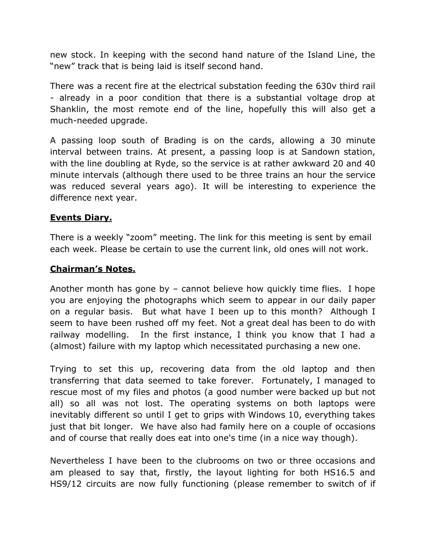new stock. In keeping with the second hand nature of the Island Line, the "new" track that is being laid is itself second hand.

There was a recent fire at the electrical substation feeding the 630v third rail - already in a poor condition that there is a substantial voltage drop at Shanklin, the most remote end of the line, hopefully this will also get a much-needed upgrade.

A passing loop south of Brading is on the cards, allowing a 30 minute interval between trains. At present, a passing loop is at Sandown station, with the line doubling at Ryde, so the service is at rather awkward 20 and 40 minute intervals (although there used to be three trains an hour the service was reduced several years ago). It will be interesting to experience the difference next year.

### **Events Diary.**

There is a weekly "zoom" meeting. The link for this meeting is sent by email each week. Please be certain to use the current link, old ones will not work.

### **Chairman's Notes.**

Another month has gone by – cannot believe how quickly time flies. I hope you are enjoying the photographs which seem to appear in our daily paper on a regular basis. But what have I been up to this month? Although I seem to have been rushed off my feet. Not a great deal has been to do with railway modelling. In the first instance, I think you know that I had a (almost) failure with my laptop which necessitated purchasing a new one.

Trying to set this up, recovering data from the old laptop and then transferring that data seemed to take forever. Fortunately, I managed to rescue most of my files and photos (a good number were backed up but not all) so all was not lost. The operating systems on both laptops were inevitably different so until I get to grips with Windows 10, everything takes just that bit longer. We have also had family here on a couple of occasions and of course that really does eat into one's time (in a nice way though).

Nevertheless I have been to the clubrooms on two or three occasions and am pleased to say that, firstly, the layout lighting for both HS16.5 and HS9/12 circuits are now fully functioning (please remember to switch of if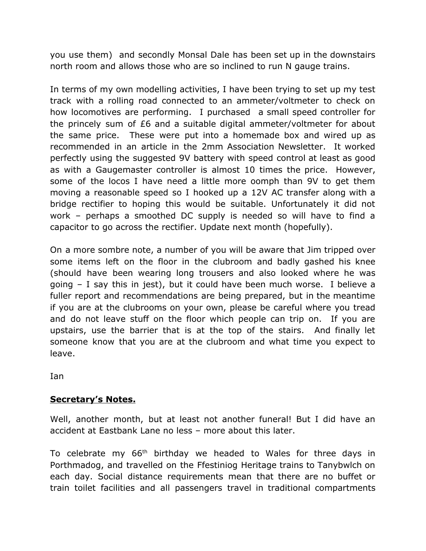you use them) and secondly Monsal Dale has been set up in the downstairs north room and allows those who are so inclined to run N gauge trains.

In terms of my own modelling activities, I have been trying to set up my test track with a rolling road connected to an ammeter/voltmeter to check on how locomotives are performing. I purchased a small speed controller for the princely sum of £6 and a suitable digital ammeter/voltmeter for about the same price. These were put into a homemade box and wired up as recommended in an article in the 2mm Association Newsletter. It worked perfectly using the suggested 9V battery with speed control at least as good as with a Gaugemaster controller is almost 10 times the price. However, some of the locos I have need a little more oomph than 9V to get them moving a reasonable speed so I hooked up a 12V AC transfer along with a bridge rectifier to hoping this would be suitable. Unfortunately it did not work – perhaps a smoothed DC supply is needed so will have to find a capacitor to go across the rectifier. Update next month (hopefully).

On a more sombre note, a number of you will be aware that Jim tripped over some items left on the floor in the clubroom and badly gashed his knee (should have been wearing long trousers and also looked where he was going – I say this in jest), but it could have been much worse. I believe a fuller report and recommendations are being prepared, but in the meantime if you are at the clubrooms on your own, please be careful where you tread and do not leave stuff on the floor which people can trip on. If you are upstairs, use the barrier that is at the top of the stairs. And finally let someone know that you are at the clubroom and what time you expect to leave.

Ian

# **Secretary's Notes.**

Well, another month, but at least not another funeral! But I did have an accident at Eastbank Lane no less – more about this later.

To celebrate my  $66<sup>th</sup>$  birthday we headed to Wales for three days in Porthmadog, and travelled on the Ffestiniog Heritage trains to Tanybwlch on each day. Social distance requirements mean that there are no buffet or train toilet facilities and all passengers travel in traditional compartments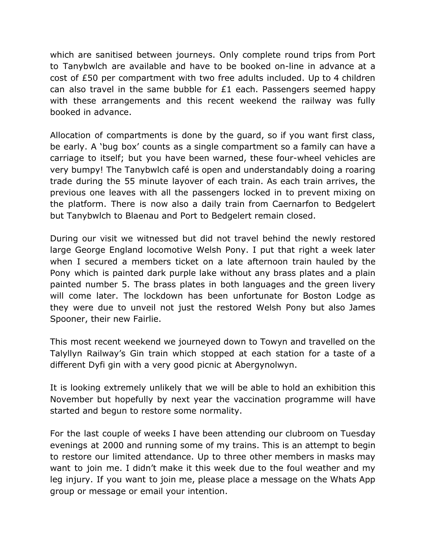which are sanitised between journeys. Only complete round trips from Port to Tanybwlch are available and have to be booked on-line in advance at a cost of £50 per compartment with two free adults included. Up to 4 children can also travel in the same bubble for £1 each. Passengers seemed happy with these arrangements and this recent weekend the railway was fully booked in advance.

Allocation of compartments is done by the guard, so if you want first class, be early. A 'bug box' counts as a single compartment so a family can have a carriage to itself; but you have been warned, these four-wheel vehicles are very bumpy! The Tanybwlch café is open and understandably doing a roaring trade during the 55 minute layover of each train. As each train arrives, the previous one leaves with all the passengers locked in to prevent mixing on the platform. There is now also a daily train from Caernarfon to Bedgelert but Tanybwlch to Blaenau and Port to Bedgelert remain closed.

During our visit we witnessed but did not travel behind the newly restored large George England locomotive Welsh Pony. I put that right a week later when I secured a members ticket on a late afternoon train hauled by the Pony which is painted dark purple lake without any brass plates and a plain painted number 5. The brass plates in both languages and the green livery will come later. The lockdown has been unfortunate for Boston Lodge as they were due to unveil not just the restored Welsh Pony but also James Spooner, their new Fairlie.

This most recent weekend we journeyed down to Towyn and travelled on the Talyllyn Railway's Gin train which stopped at each station for a taste of a different Dyfi gin with a very good picnic at Abergynolwyn.

It is looking extremely unlikely that we will be able to hold an exhibition this November but hopefully by next year the vaccination programme will have started and begun to restore some normality.

For the last couple of weeks I have been attending our clubroom on Tuesday evenings at 2000 and running some of my trains. This is an attempt to begin to restore our limited attendance. Up to three other members in masks may want to join me. I didn't make it this week due to the foul weather and my leg injury. If you want to join me, please place a message on the Whats App group or message or email your intention.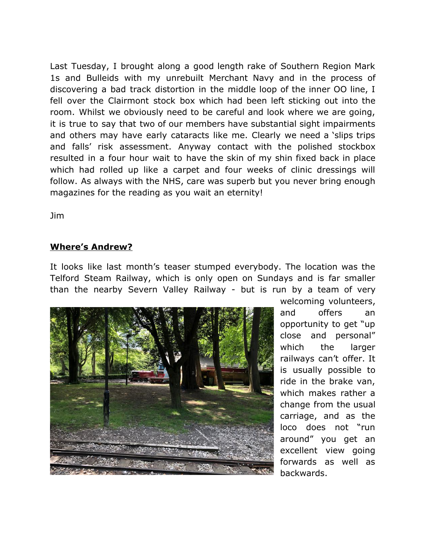Last Tuesday, I brought along a good length rake of Southern Region Mark 1s and Bulleids with my unrebuilt Merchant Navy and in the process of discovering a bad track distortion in the middle loop of the inner OO line, I fell over the Clairmont stock box which had been left sticking out into the room. Whilst we obviously need to be careful and look where we are going, it is true to say that two of our members have substantial sight impairments and others may have early cataracts like me. Clearly we need a 'slips trips and falls' risk assessment. Anyway contact with the polished stockbox resulted in a four hour wait to have the skin of my shin fixed back in place which had rolled up like a carpet and four weeks of clinic dressings will follow. As always with the NHS, care was superb but you never bring enough magazines for the reading as you wait an eternity!

Jim

## **Where's Andrew?**

It looks like last month's teaser stumped everybody. The location was the Telford Steam Railway, which is only open on Sundays and is far smaller than the nearby Severn Valley Railway - but is run by a team of very



welcoming volunteers, and offers an opportunity to get "up close and personal" which the larger railways can't offer. It is usually possible to ride in the brake van, which makes rather a change from the usual carriage, and as the loco does not "run around" you get an excellent view going forwards as well as backwards.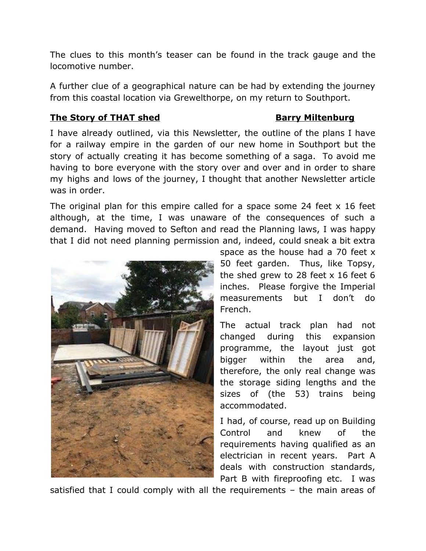The clues to this month's teaser can be found in the track gauge and the locomotive number.

A further clue of a geographical nature can be had by extending the journey from this coastal location via Grewelthorpe, on my return to Southport.

## **The Story of THAT shed Barry Miltenburg**

I have already outlined, via this Newsletter, the outline of the plans I have for a railway empire in the garden of our new home in Southport but the story of actually creating it has become something of a saga. To avoid me having to bore everyone with the story over and over and in order to share my highs and lows of the journey, I thought that another Newsletter article was in order.

The original plan for this empire called for a space some 24 feet x 16 feet although, at the time, I was unaware of the consequences of such a demand. Having moved to Sefton and read the Planning laws, I was happy that I did not need planning permission and, indeed, could sneak a bit extra



space as the house had a 70 feet x 50 feet garden. Thus, like Topsy, the shed grew to 28 feet x 16 feet 6 inches. Please forgive the Imperial measurements but I don't do French.

The actual track plan had not changed during this expansion programme, the layout just got bigger within the area and, therefore, the only real change was the storage siding lengths and the sizes of (the 53) trains being accommodated.

I had, of course, read up on Building Control and knew of the requirements having qualified as an electrician in recent years. Part A deals with construction standards, Part B with fireproofing etc. I was

satisfied that I could comply with all the requirements – the main areas of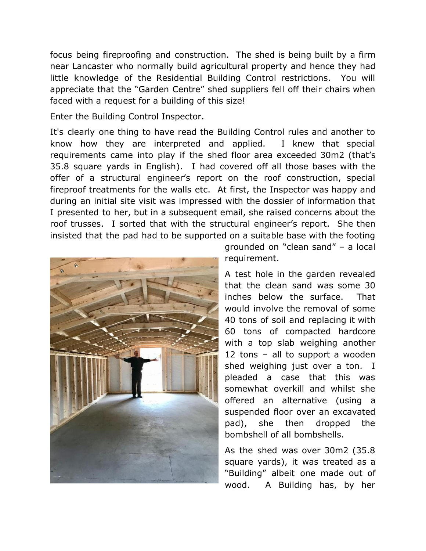focus being fireproofing and construction. The shed is being built by a firm near Lancaster who normally build agricultural property and hence they had little knowledge of the Residential Building Control restrictions. You will appreciate that the "Garden Centre" shed suppliers fell off their chairs when faced with a request for a building of this size!

Enter the Building Control Inspector.

It's clearly one thing to have read the Building Control rules and another to know how they are interpreted and applied. I knew that special requirements came into play if the shed floor area exceeded 30m2 (that's 35.8 square yards in English). I had covered off all those bases with the offer of a structural engineer's report on the roof construction, special fireproof treatments for the walls etc. At first, the Inspector was happy and during an initial site visit was impressed with the dossier of information that I presented to her, but in a subsequent email, she raised concerns about the roof trusses. I sorted that with the structural engineer's report. She then insisted that the pad had to be supported on a suitable base with the footing



grounded on "clean sand" – a local requirement.

A test hole in the garden revealed that the clean sand was some 30 inches below the surface. That would involve the removal of some 40 tons of soil and replacing it with 60 tons of compacted hardcore with a top slab weighing another 12 tons – all to support a wooden shed weighing just over a ton. I pleaded a case that this was somewhat overkill and whilst she offered an alternative (using a suspended floor over an excavated pad), she then dropped the bombshell of all bombshells.

As the shed was over 30m2 (35.8 square yards), it was treated as a "Building" albeit one made out of wood. A Building has, by her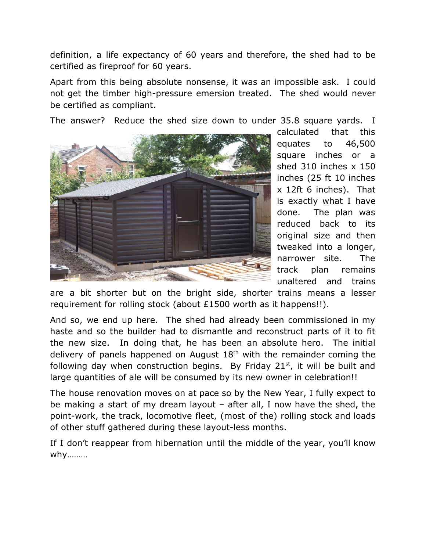definition, a life expectancy of 60 years and therefore, the shed had to be certified as fireproof for 60 years.

Apart from this being absolute nonsense, it was an impossible ask. I could not get the timber high-pressure emersion treated. The shed would never be certified as compliant.

The answer? Reduce the shed size down to under 35.8 square yards. I



calculated that this equates to 46,500 square inches or a shed 310 inches x 150 inches (25 ft 10 inches x 12ft 6 inches). That is exactly what I have done. The plan was reduced back to its original size and then tweaked into a longer, narrower site. The track plan remains unaltered and trains

are a bit shorter but on the bright side, shorter trains means a lesser requirement for rolling stock (about £1500 worth as it happens!!).

And so, we end up here. The shed had already been commissioned in my haste and so the builder had to dismantle and reconstruct parts of it to fit the new size. In doing that, he has been an absolute hero. The initial delivery of panels happened on August  $18<sup>th</sup>$  with the remainder coming the following day when construction begins. By Friday  $21<sup>st</sup>$ , it will be built and large quantities of ale will be consumed by its new owner in celebration!!

The house renovation moves on at pace so by the New Year, I fully expect to be making a start of my dream layout – after all, I now have the shed, the point-work, the track, locomotive fleet, (most of the) rolling stock and loads of other stuff gathered during these layout-less months.

If I don't reappear from hibernation until the middle of the year, you'll know why………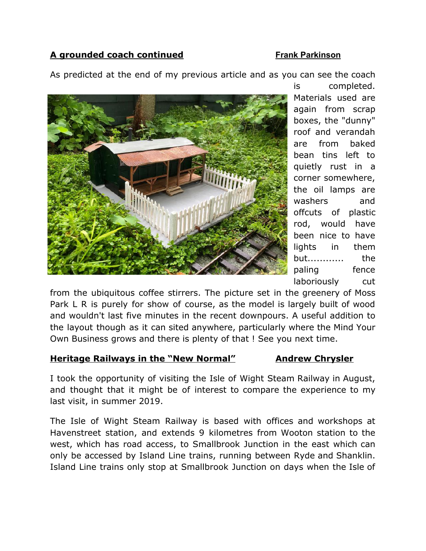# A grounded coach continued **Finance A** Frank Parkinson

As predicted at the end of my previous article and as you can see the coach



is completed. Materials used are again from scrap boxes, the "dunny" roof and verandah are from baked bean tins left to quietly rust in a corner somewhere, the oil lamps are washers and offcuts of plastic rod, would have been nice to have lights in them but............ the paling fence laboriously cut

from the ubiquitous coffee stirrers. The picture set in the greenery of Moss Park L R is purely for show of course, as the model is largely built of wood and wouldn't last five minutes in the recent downpours. A useful addition to the layout though as it can sited anywhere, particularly where the Mind Your Own Business grows and there is plenty of that ! See you next time.

### **Heritage Railways in the "New Normal" Andrew Chrysler**

I took the opportunity of visiting the Isle of Wight Steam Railway in August, and thought that it might be of interest to compare the experience to my last visit, in summer 2019.

The Isle of Wight Steam Railway is based with offices and workshops at Havenstreet station, and extends 9 kilometres from Wooton station to the west, which has road access, to Smallbrook Junction in the east which can only be accessed by Island Line trains, running between Ryde and Shanklin. Island Line trains only stop at Smallbrook Junction on days when the Isle of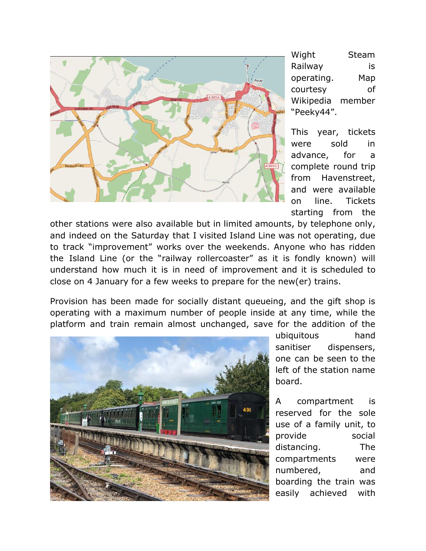

Wight Steam Railway is operating. Map courtesy of Wikipedia member "Peeky44".

This year, tickets were sold in advance, for a complete round trip from Havenstreet, and were available on line. Tickets starting from the

other stations were also available but in limited amounts, by telephone only, and indeed on the Saturday that I visited Island Line was not operating, due to track "improvement" works over the weekends. Anyone who has ridden the Island Line (or the "railway rollercoaster" as it is fondly known) will understand how much it is in need of improvement and it is scheduled to close on 4 January for a few weeks to prepare for the new(er) trains.

Provision has been made for socially distant queueing, and the gift shop is operating with a maximum number of people inside at any time, while the platform and train remain almost unchanged, save for the addition of the



ubiquitous hand sanitiser dispensers, one can be seen to the left of the station name board.

A compartment is reserved for the sole use of a family unit, to provide social distancing. The compartments were numbered, and boarding the train was easily achieved with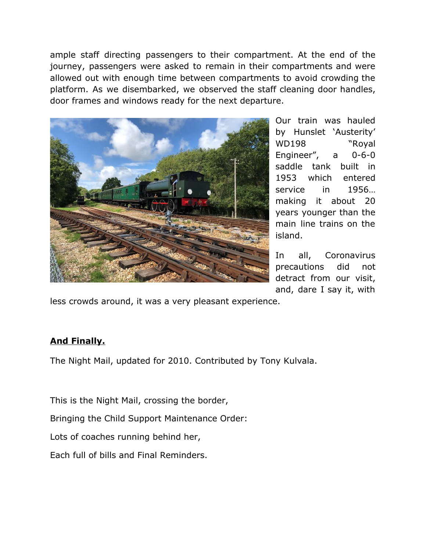ample staff directing passengers to their compartment. At the end of the journey, passengers were asked to remain in their compartments and were allowed out with enough time between compartments to avoid crowding the platform. As we disembarked, we observed the staff cleaning door handles, door frames and windows ready for the next departure.



Our train was hauled by Hunslet 'Austerity' WD198 "Royal Engineer", a 0-6-0 saddle tank built in 1953 which entered service in 1956… making it about 20 years younger than the main line trains on the island.

In all, Coronavirus precautions did not detract from our visit, and, dare I say it, with

less crowds around, it was a very pleasant experience.

# **And Finally.**

The Night Mail, updated for 2010. Contributed by Tony Kulvala.

This is the Night Mail, crossing the border,

Bringing the Child Support Maintenance Order:

Lots of coaches running behind her,

Each full of bills and Final Reminders.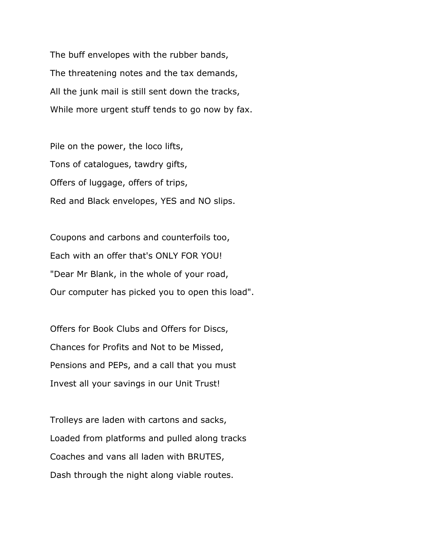The buff envelopes with the rubber bands, The threatening notes and the tax demands, All the junk mail is still sent down the tracks, While more urgent stuff tends to go now by fax.

Pile on the power, the loco lifts, Tons of catalogues, tawdry gifts, Offers of luggage, offers of trips, Red and Black envelopes, YES and NO slips.

Coupons and carbons and counterfoils too, Each with an offer that's ONLY FOR YOU! "Dear Mr Blank, in the whole of your road, Our computer has picked you to open this load".

Offers for Book Clubs and Offers for Discs, Chances for Profits and Not to be Missed, Pensions and PEPs, and a call that you must Invest all your savings in our Unit Trust!

Trolleys are laden with cartons and sacks, Loaded from platforms and pulled along tracks Coaches and vans all laden with BRUTES, Dash through the night along viable routes.